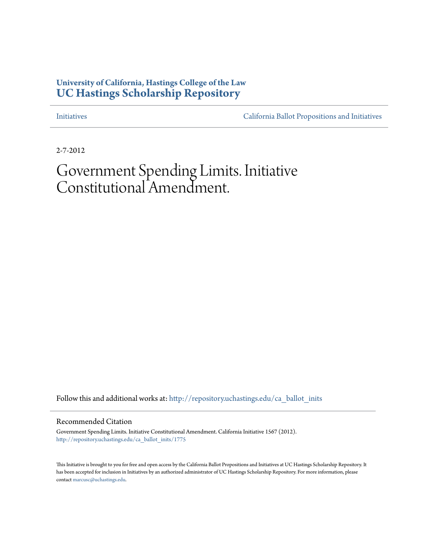## **University of California, Hastings College of the Law [UC Hastings Scholarship Repository](http://repository.uchastings.edu?utm_source=repository.uchastings.edu%2Fca_ballot_inits%2F1775&utm_medium=PDF&utm_campaign=PDFCoverPages)**

[Initiatives](http://repository.uchastings.edu/ca_ballot_inits?utm_source=repository.uchastings.edu%2Fca_ballot_inits%2F1775&utm_medium=PDF&utm_campaign=PDFCoverPages) [California Ballot Propositions and Initiatives](http://repository.uchastings.edu/ca_ballots?utm_source=repository.uchastings.edu%2Fca_ballot_inits%2F1775&utm_medium=PDF&utm_campaign=PDFCoverPages)

2-7-2012

## Government Spending Limits. Initiative Constitutional Amendment.

Follow this and additional works at: [http://repository.uchastings.edu/ca\\_ballot\\_inits](http://repository.uchastings.edu/ca_ballot_inits?utm_source=repository.uchastings.edu%2Fca_ballot_inits%2F1775&utm_medium=PDF&utm_campaign=PDFCoverPages)

Recommended Citation

Government Spending Limits. Initiative Constitutional Amendment. California Initiative 1567 (2012). [http://repository.uchastings.edu/ca\\_ballot\\_inits/1775](http://repository.uchastings.edu/ca_ballot_inits/1775?utm_source=repository.uchastings.edu%2Fca_ballot_inits%2F1775&utm_medium=PDF&utm_campaign=PDFCoverPages)

This Initiative is brought to you for free and open access by the California Ballot Propositions and Initiatives at UC Hastings Scholarship Repository. It has been accepted for inclusion in Initiatives by an authorized administrator of UC Hastings Scholarship Repository. For more information, please contact [marcusc@uchastings.edu](mailto:marcusc@uchastings.edu).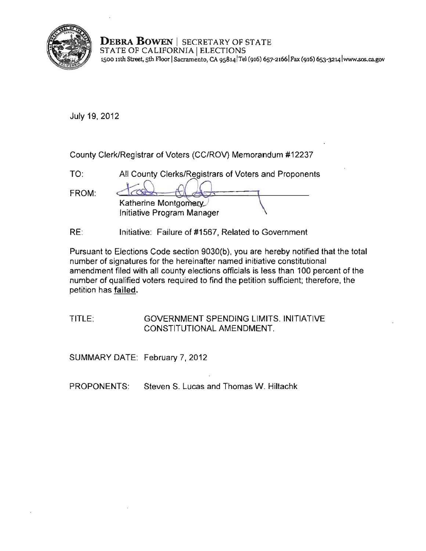

**DEBRA BOWEN** I SECRETARY OF STATE STATE OF CALIFORNIA | ELECTIONS **1500 nth Street, sth F100r ISacramento, CA 9S8141 Te1 (916) 657-21661 Fax (916) 653<J214 lwww.sos.ca.gov** 

July 19, 2012

County Clerk/Registrar of Voters (CC/ROV) Memorandum #12237

| $TO^{\cdot}$ | All County Clerks/Registrars of Voters and Proponents |  |
|--------------|-------------------------------------------------------|--|
| FROM:        | Katherine Montgomery<br>Initiative Program Manager    |  |

RE: Initiative: Failure of #1567, Related to Government

Pursuant to Elections Code section 9030(b), you are hereby notified that the total number of signatures for the hereinafter named initiative constitutional amendment filed with all county elections officials is less than 100 percent of the number of qualified voters required to find the petition sufficient; therefore, the petition has failed.

TITLE: GOVERNMENT SPENDING LIMITS. INITIATIVE CONSTITUTIONAL AMENDMENT.

SUMMARY DATE: February 7, 2012

PROPONENTS: Steven S. Lucas and Thomas W. Hiltachk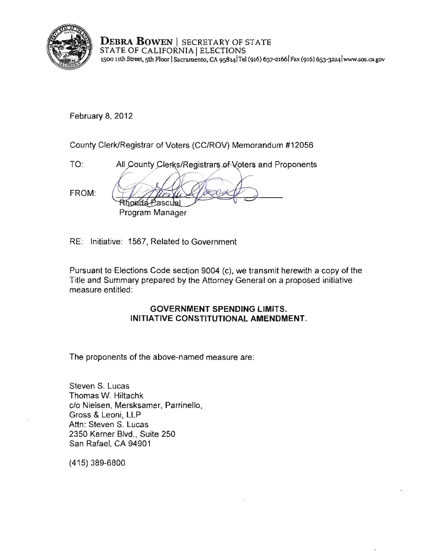

DEBRA BOWEN | SECRETARY OF STATE STATE OF CALIFORNIA I ELECTIONS **l500 nth Street, sth Floor ISacramento, CA 9S8141Tel (916) 657-21661Fax (916) 6s3-3214 [lwww..sos.cagov](www.sos.ca.gov)** 

February 8, 2012

County Clerk/Registrar of Voters (CC/ROV) Memorandum #12056

TO: All County Clerks/Registrars of Voters and Proponents FROM: Rhonda Pasculal  $\frac{1}{\sqrt{2}}$ Program Manager

RE: Initiative: 1567, Related to Government

Pursuant to Elections Code section 9004 (c), we transmit herewith a copy of the Title and Summary prepared by the Attorney General on a proposed initiative measure entitled:

#### GOVERNMENT SPENDING LIMITS. INITIATIVE CONSTITUTIONAL AMENDMENT.

The proponents of the above-named measure are:

Steven S. Lucas Thomas W. Hiltachk c/o Nielsen, Mersksamer, Parrinello, Gross & Leoni, LLP Attn: Steven S. Lucas 2350 Kerner Blvd., Suite 250 San Rafael, CA 94901

(415) 389-6800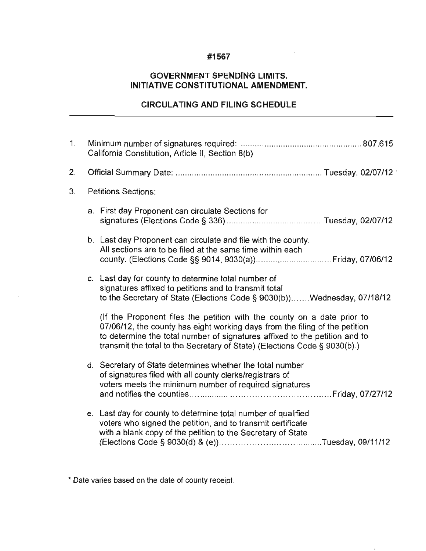#### **#1567**

 $\cdot$ 

#### **GOVERNMENT SPENDING LIMITS. INITIATIVE CONSTITUTIONAL AMENDMENT.**

#### **CIRCULATING AND FILING SCHEDULE**

| 1. | California Constitution, Article II, Section 8(b) |                                                                                                                                                                                                                                                                                                                   |
|----|---------------------------------------------------|-------------------------------------------------------------------------------------------------------------------------------------------------------------------------------------------------------------------------------------------------------------------------------------------------------------------|
| 2. |                                                   |                                                                                                                                                                                                                                                                                                                   |
| 3. | <b>Petitions Sections:</b>                        |                                                                                                                                                                                                                                                                                                                   |
|    |                                                   | a. First day Proponent can circulate Sections for                                                                                                                                                                                                                                                                 |
|    |                                                   | b. Last day Proponent can circulate and file with the county.<br>All sections are to be filed at the same time within each                                                                                                                                                                                        |
|    |                                                   | c. Last day for county to determine total number of<br>signatures affixed to petitions and to transmit total<br>to the Secretary of State (Elections Code § 9030(b))Wednesday, 07/18/12                                                                                                                           |
|    |                                                   | (If the Proponent files the petition with the county on a date prior to<br>07/06/12, the county has eight working days from the filing of the petition<br>to determine the total number of signatures affixed to the petition and to<br>transmit the total to the Secretary of State) (Elections Code § 9030(b).) |
|    |                                                   | d. Secretary of State determines whether the total number<br>of signatures filed with all county clerks/registrars of<br>voters meets the minimum number of required signatures                                                                                                                                   |
|    |                                                   | e. Last day for county to determine total number of qualified<br>voters who signed the petition, and to transmit certificate<br>with a blank copy of the petition to the Secretary of State                                                                                                                       |

**\* Date varies based on the date of county receipt.**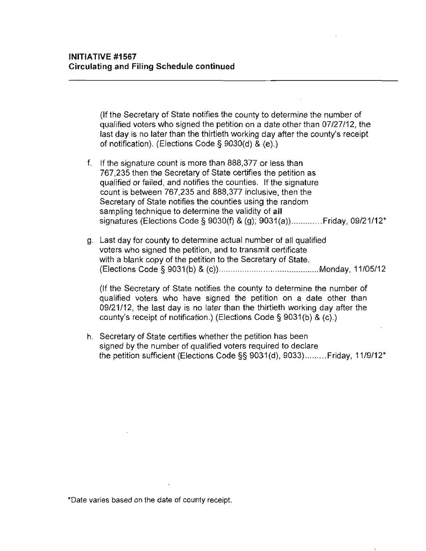(If the Secretary **of** State notifies the county to determine the number of qualified voters who signed the petition on a date other than 07/27/12. the last day is no later than the thirtieth working day after the county's receipt of notification). (Elections Code § 9030(d) & (e).)

f. **If** the signature count is more than 888.377 or less than 767.235 then the Secretary of State certifies the petition as qualified or failed. and notifies the counties. **If** the signature count is between 767.235 and 888.377 inclusive. then the Secretary of State notifies the counties using the random sampling technique to determine the validity of **all**  signatures (Elections Code § 9030(f) & (g); 9031(a))............. Friday, 09/21/12<sup>\*</sup>

g. Last day for county to determine actual number of all qualified voters who signed the petition. and to transmit certificate with a blank copy of the petition to the Secretary of State. (Elections Code § 9031(b) & (c)) ...... ................................... Monday. 11/05/12

(If the Secretary of State notifies the county to determine the number of qualified voters who have signed the petition on a date other than 09/21/12. the last day is no later than the thirtieth working day after the county's receipt of notification.) (Elections Code § 9031(b) & (c).)

h. Secretary of State certifies whether the petition has been signed by the number of qualified voters required to declare the petition sufficient (Elections Code §§ 9031(d). 9033) ......... Friday. 11/9/12"

**\*Date varies based on the date of county receipt.**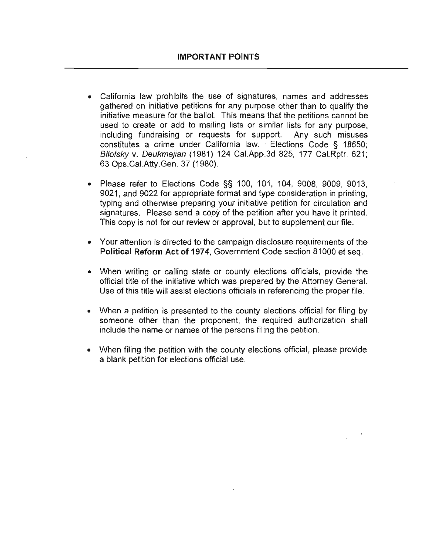- California law prohibits the use of signatures, names and addresses gathered on initiative petitions for any purpose other than to qualify the initiative measure for the ballot. This means that the petitions cannot be **used to create or add to mailing lists or similar lists for any purpose,**  including fundraising or requests for support. Any such misuses constitutes a crime under California law. Elections Code § 18650; Bilofsky v. Deukmejian (1981) 124 Cal.App.3d 825, 177 Cal.Rptr. 621; 63 Ops.CaI.Atty.Gen. 37 (1980).
- Please refer to Elections Code §§ 100, 101, 104, 9008, 9009, 9013, 9021, and 9022 for appropriate format and type consideration in printing, typing and otherwise preparing your initiative petition for circulation and signatures. Please send a copy of the petition after you have it printed. This copy is not for our review or approval, but to supplement our file.
- **Your attention is directed to the campaign disclosure requirements of the Political Reform Act of** 1974, Government Code section 81000 et seq.
- When writing or calling state or county elections officials, provide the official title of the initiative which was prepared by the Attorney General. Use of this title will assist elections officials in referencing the proper file.
- When a petition is presented to the county elections official for filing by someone other than the proponent, the required authorization shall **include the name or names of the persons filing the petition.**
- When filing the petition with the county elections official, please provide a blank petition for elections official use.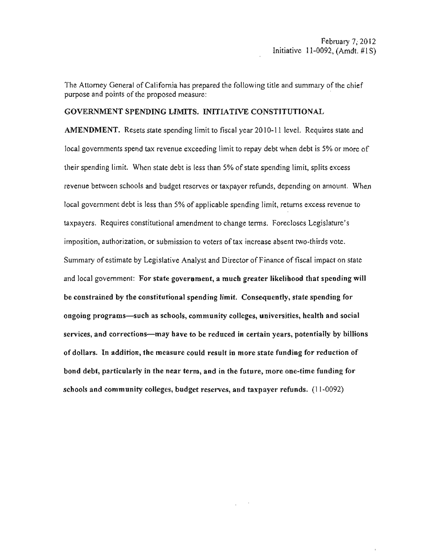The Attorney General of California has prepared the following title and summary of the chief purpose and points of the proposed measure:

#### GOVERNMENT SPENDING LIMITS. INITIATIVE CONSTITUTIONAL

AMENDMENT. Resets state spending limit to fiscal year 2010-11 level. Requires state and local governments spend tax revenue exceeding limit to repay debt when debt is 5% or more of their spending limit. When state debt is less than 5% of state spending limit, splits excess revenue between schools and budget reserves or taxpayer refunds, depending on amount. When local government debt is less than 5% of applicable spending limit, returns excess revenue to taxpayers. Requires constitutional amendment to change tenus. Forecloses Legislature's imposition, authorization, or submission to voters of tax increase absent two-thirds vote. Summary of estimate by Legislative Analyst and Director of Finance of fiscal impact on state and local government: For state government, a mueh greater likelihood that spending will be constrained by the constitutional spending limit. Consequently, state spending for ongoing programs-such as schools, community colleges, universities, health and social services, and corrections—may have to be reduced in certain years, potentially by billions of dollars. In addition, the measure could result in more state funding for reduction of bond debt, particularly in the ncar term, and in the future, more one-time funding for schools and community colleges, budget reserves, and taxpayer refunds. (11-0092)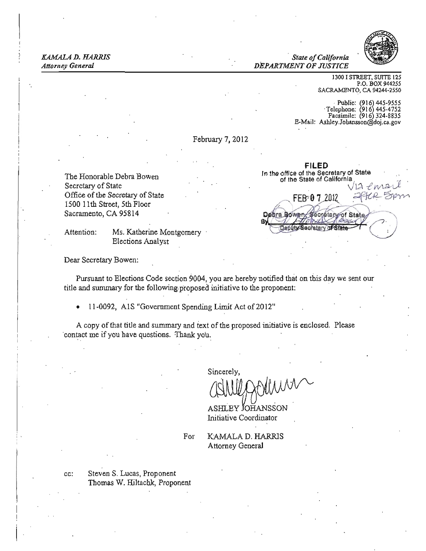KAMALA D. HARRIS *State of California Attorney General DEPARTMENT OF JUSTICE* 

FILED

etary of Sfa



1300 I STREET, SUITE 125 P.O. BOX *9442SS*  SACRAMENTO, CA 94244-2550

Public: (916) 445-9555<br>Telephone: (916) 445-4752 Facsimile: (916) 324-8835 E-Mail: Ashley.Johanssondoj.ca.gov

February 7, 2012

In the office of the Secretary of State The Honorable Debra Bowen of the State of the Secretary of State of California Secretary of State  $\sqrt{12}$   $\ell$  MAs Office of the Secretary 1500 11th Street, 5th Floor of the State of California<br>of State<br>oor Sacramento, CA 95814 Debra Bowen Secretary of State

Attention: Ms. Katherine Montgomery Elections Analyst

Dear Secretary Bowen:

Pursuant to Elections Code section 9004. you are hereby notified that on this day we sent our title and sununary for the following.p'roposed initiative to the proponent:

11-0092, A1S "Government Spending Limit Act of 2012"

A copy of that title and summary and text of the proposed initiative is enclosed. Please contact me if you have questions. Thank you.

Sincerely,

ASHLEY JOHANSSON Initiative Coordinator

For KAMALA D. HARRlS Attorney General

cc: Steven S. Lucas, Proponent Thomas W. Hiltachk, Proponent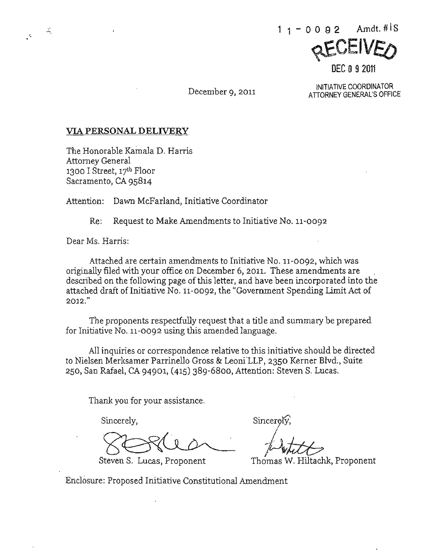INITIATIVE COORDINATOR<br>ATTORNEY GENERAL'S OFFICE

**DEC 0 9 2011** 

#### VIA **PERSONAL DELIVERY**

The Honorable Kamala D. Harris Attorney General 1300 I Street,  $17<sup>th</sup>$  Floor Sacramento, CA 95814

Attention: Dawn McFarland, Initiative Coordinator

Re: Request to Make Amendments to Initiative No. 11-0092

Dear Ms, Harris:

'.

Attached are certain amendments to Initiative No. 11-0092, which was originally filed with your office on December 6, 2011- These amendments are described on the following page of this letter, and have been incorporated into the attached draft of Initiative No, 11-0092, the "Government Spending Limit Act of 2012."

The proponents respectfully request that a title and summary be prepared for Initiative No. 11-0092 using this amended language,

All inquiries or correspondence relative to this initiative should be directed to Nielsen Merksamer Parrinello Gross & Leoni'LLP, 2350 Kerner Blvd;, Suite 250, San Rafael, CA 94901, (415) 389-6800, Attention: Steven S. Lucas.

Thank you for your assistance,

Sincerely, Sincerely, Sincerely, Sincerely, Sincerely, Sincerely, Sincerely, Sincerely, Sincerely, Sincerely, Sincerely, Sincerely, Sincerely, Sincerely, Sincerely, Sincerely, Sincerely, Sincerely, Sincerely, Sincerely, Si

Steven S. Lucas, Proponent

/ White<br>mas W. Hiltachk, Proponent

Enclosure: Proposed Initiative Constitutional Amendment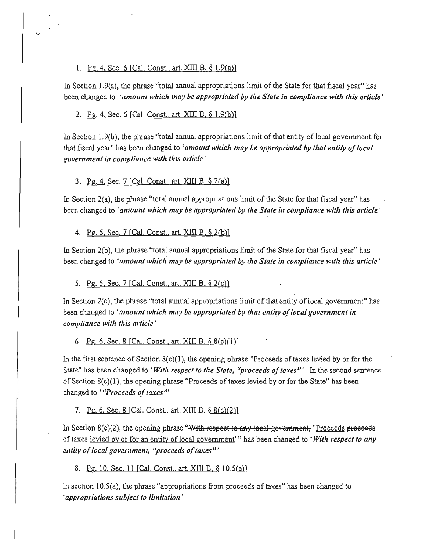#### 1. Pg. 4, Sec. 6 [Cal. Const., art.  $XIII B$ ,  $\S$  1.9(a)]

In Section 1.9(a), the phrase "total annual appropriations limit of the State for that fiscal year" has been changed to *'amount which may be appropriated by the State in compliance with this article'* 

#### 2. Pg. 4, Sec. 6 [Cal. Const., art. XIII B, § 1.9(b)]

In Section 1.9(b), the phrase "total annual appropriations limit of that entity of local government for **that fiscal year" has been changed to** *'amount wllich may be appropriated by that entity 0/local*  government in compliance with this article'

#### 3. Pg. 4, Sec. 7 [Cal. Const., art. XIII B, § 2(a)]

**In Section 2(a), the phrase "total annual appropriations limit of the State for that fiscal year" has been changed to •***amount which may be appropriated by the State in compliance with this article'* 

4. Pg. 5, Sec. 7 [Cal. Const., art. XIII  $B, \S$  2(b)]

**In Section 2(b), the phrase "total annual appropriations limit of the State for that fiscal year" has been changed to** *'amount which may be appropriated by the State in compliance* **with** *this article'* 

5. Pg. 5, Sec. 7 [Cal. Const., art. XIII B.  $\S 2(c)$ ]

**In Section 2(c), the phrase "total annual appropriations limit** of that **entity** of local **government" has been changed to <***anwunt which may be appropriated by that entity oflocal government in compliance with this article'* 

6. Pg. 6. Sec. 8 [Cal. Const., art. XIII B.  $\S$  8(c)(1)]

In the first sentence of Section  $8(c)(1)$ , the opening phrase "Proceeds of taxes levied by or for the **State" has been changed to •***With respect to the State, "proceeds oftaxes"',* **In the second sentence of Section 8(c)(1), the opening phrase "Proceeds** of taxes **levied by or for the State" has been changed to'** *"Proceeds ojtaxes'"* 

7. Pg. 6, Sec. 8 [Cal. Const., art. XIII B. § 8(c)(2)]

In Section 8(c)(2), the opening phrase "With respect to any local government, "Proceeds proceeds of taxes **levied by or for an entity of local government"" has been changed to •***With respect to any entity of local government, "proceeds of taxes"'* 

8. Pg. 10, Sec. 11 [Cal. Const., art. XIII B, § 10.5(a)]

**In section I 0.5(a), the phrase "appropriations from proceeds** of taxes" **has been changed to**  *'appropriations subject to limitation'*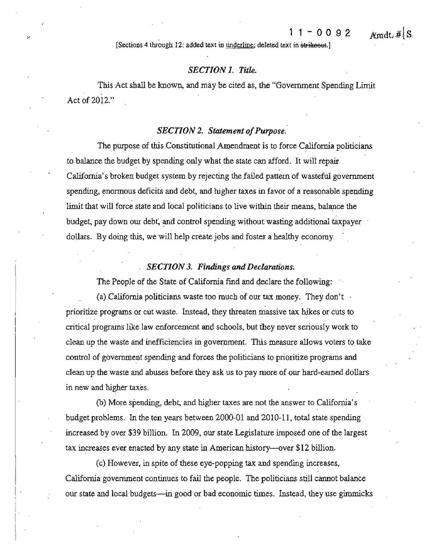**[Sections 4 through 12: added text in underline; deleted text in**  $\frac{1}{12}$  **and**  $\frac{1}{12}$  **and**  $\frac{1}{12}$  **and**  $\frac{1}{12}$  **and**  $\frac{1}{12}$  **and**  $\frac{1}{12}$  **and**  $\frac{1}{12}$  **and**  $\frac{1}{12}$  **and**  $\frac{1}{12}$  **and**  $\frac{1}{12}$  **and \frac{1}{** 

#### *SECTION* 1. *Ti1le.*

This Act shall be known, and may be cited as, the "Government Spending Limit" Act of 2012."

#### *SECTION 2. Statement of Purpose.*

The purpose of this Constitutional Amendment is to force California politicians to balance the budget by spending only what the state can afford. It will repair California's broken budget system by rejecting the failed pattern of wasteful government spending, enormous deficits and debt, and higher taxes in favor of a reasonable spending limit that will force state and local politicians to live within their means, balance the budget, pay down our debt; and control spending without wasting additional taxpayer dollars. By doing this, we will help create jobs and foster a healthy economy.

#### **SECTION 3. Findings and Declarations.**

The People of the State of California find and declare the following:

(a) California politicians waste too much of our tax money. They don't **prioritize programs or cut waste. Instead, they threaten massive tax hikes or cuts to critical programs like law enforcement an4 schools, but they never seriously work to clean up the waste and inefficiencies in govenunent. 'This measure allows voters to take**  control of government spending and forces the politicians to prioritize programs and clean up the waste and abuses before they ask us to pay more of our hard-earned dollars in new and higher taxes.

(b) More spending, debt; and higher taxes are not the answer to California's budget problems. In the ten years between 2000-01 and 2010-11, total state spending increased by over \$39 billion. In 2009, our state Legislature imposed one of the largest tax increases ever enacted by any state in American history-over \$12 billion.

< c) However, in spite of these eye-popping tax and spending increases, California government continues to fail the people. The politicians still cannot balance our state and local budgets-in good or bad economic times. Instead, they use gimmicks

 $A$  mdt.  $\#$  S.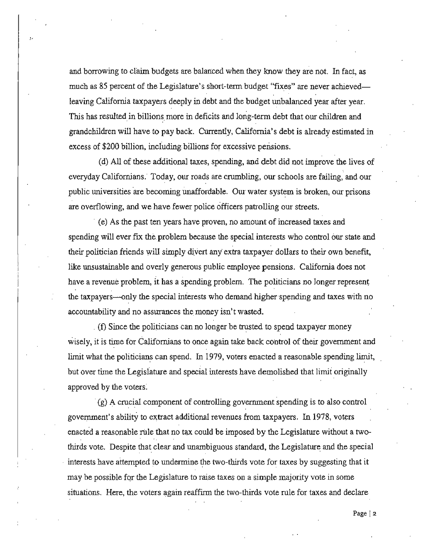and borrowing to claim budgets are balanced when they know they are not. In fact, as much as 85 percent of the Legislature's short-term budget "fixes" are never achievedleaving California taxpayers deeply in debt and the budget unbalanced year after year. This has resulted in billions more in deficits and long-term debt that our children and grandchildren will have to pay back. Currently, California's debt is already estimated in excess of \$200 billion, including billions for excessive pensions.

"

(d) All of these additional taxes, spending, and debt did not improve the lives of everyday Californians. Today, our roads are crumbling, our schools are failing, and our public universities are becoming unaffordable. Our water system is broken, our prisons **are overflowing, and we have fewer police officers patrolling our streets.** 

**(e)** As the past ten years have proven, no amount of increased taxes and **spending will ever fix the problem because the special interests who control our state and**  their politician friends will simply divert any extra taxpayer dollars to their own benefit, like unsustainable and overly generous public employee pensions. California does not have a revenue problem, it has a spending problem, The politicians no longer represent the taxpayers—only the special interests who demand higher spending and taxes with no **accountability and no assurances the money isn't wasted.** 

 $\hat{I}$  (f) Since the politicians can no longer be trusted to spend taxpayer money wisely, it is time for Californians to once again take back control of their government and limit what the politicians can spend, In 1979, voters enacted a reasonable spending limit, but over time the Legislature and special interests have demolished that limit originally approved by the voters.

**(g) A cruci.a! component of controlling government spending is to also control government's ability to extract additional revenues from taxpayers. In 1978, voters**  enacted a reasonable rule that no tax could be imposed by the Legislature without a twothirds vote. Despite that clear and unambiguous standard, the Legislature and the special interests have attempted to undermine the two-thirds vote for taxes by suggesting that it **may be possible for the Legislature to raise taxes on a simple majority vote in some situations. Here, the voters again reaffirm the two-thirds vote rule for taxes and declare**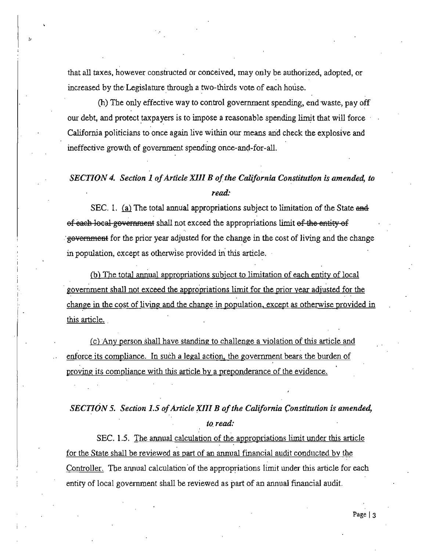**that all taxes, however constructed or conceived, may only be authorized, adopted, or**  increased by the Legislature through a two-thirds vote of each house.

"

(h) The only effective way to control government spending. end waste. payoff our debt, and protect taxpayers is to impose a reasonable spending limit that will force . California politicians to once again live within our means and check the explosive and **ineffective growth of govenunent spending once-and-for-aU.** 

## **SECTION 4. Section 1 of Article XIII B of the California Constitution is amended, to** *read:*

SEC. 1. (a) The total annual appropriations subject to limitation of the State  $\ddot{\text{and}}$ ef each local government shall not exceed the appropriations limit of the entity of government for the prior year adjusted for the change in the cost of living and the change in population, except as otherwise provided in this article.

(b) The total annual appropriations subject to limitation of each entity of local government shall not exceed the appropriations limit for the prior year adjusted for the change in the cost of living and the change in population, except as otherwise provided in this article.

**<u>(c)</u>** Any person shall have standing to challenge a violation of this article and enforce its compliance. In such a legal action. the government hears the burden of **proving its compliance with this article by a preponderance of the evidence.** 

# **SECTION 5. Section 1.5 of Article XIII B of the California Constitution is amended,**

*to read:*<br>SEC. 1.5. <u>The annual calculation of the appropriations limit under this article</u> for the State shall be reviewed as part of an annual financial audit conducted by the Controller. The annual calculation of the appropriations limit under this article for each entity of local government shall be reviewed as part of an annual financial audit.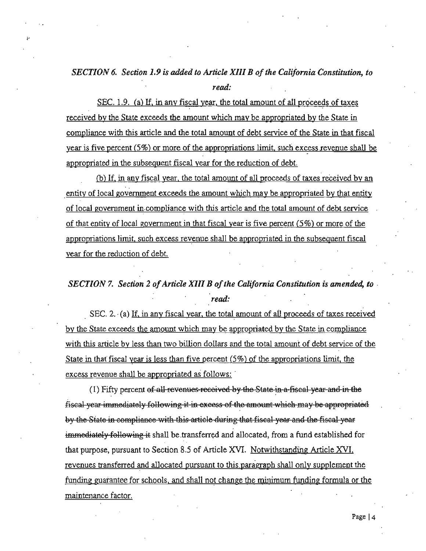## SECTION 6. Section 1.9 is added to Article XIII B of the California Constitution, to read:

SEC. 1.9. (a) If, in any fiscal year, the total amount of all proceeds of taxes received by the State exceeds the amount which may be appropriated by the State in compliance with this article and the total amount of debt service of the State in that fiscal year is five percent  $(5\%)$  or more of the appropriations limit, such excess revenue shall be appropriated in the subsequent fiscal year for the reduction of debt.

(b) If, in any fiscal year, the total amount of all proceeds of taxes received by an entity of local government exceeds the amount which may be appropriated by that entity of local government in compliance with this article and the total amount of debt service of that entity of local government in that fiscal year is five percent  $(5\%)$  or more of the appropriations limit, such excess revenue shall be appropriated in the subsequent fiscal year for the reduction of debt.

SECTION 7. Section 2 of Article XIII B of the California Constitution is amended, to read:

SEC. 2. (a) If, in any fiscal year, the total amount of all proceeds of taxes received by the State exceeds the amount which may be appropriated by the State in compliance with this article by less than two billion dollars and the total amount of debt service of the State in that fiscal year is less than five percent  $(5\%)$  of the appropriations limit, the excess revenue shall be appropriated as follows:

(1) Fifty percent of all revenues-received by the State in a fiscal year and in the fiscal year immediately following it in excess of the amount which may be appropriated by the State in compliance with this article during that fiscal year and the fiscal year immediately following it shall be transferred and allocated, from a fund established for that purpose, pursuant to Section 8.5 of Article XVI. Notwithstanding Article XVI, revenues transferred and allocated pursuant to this paragraph shall only supplement the funding guarantee for schools, and shall not change the minimum funding formula or the maintenance factor.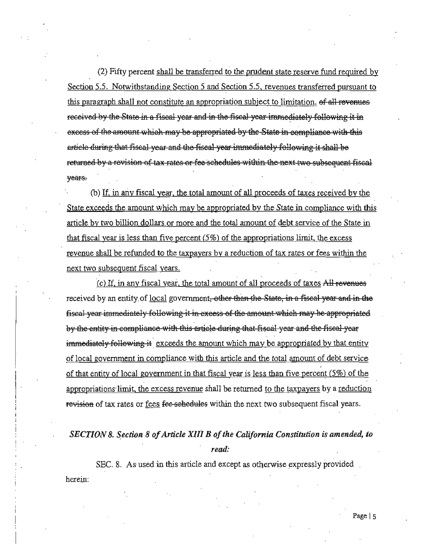(2) Fifty percent shall be transferred to the prudent state reserve fund required by Section 5.5. Notwithstanding Section 5 and Section 5.5, revenues transferred pursuant to this paragraph shall not constitute an appropriation subject to limitation. of all revenues received by the State in a fiscal year and in the fiscal year immediately following it in excess of the amount which may be appropriated by the State in compliance with this article during that fiscal year and the fiscal year immediately following it shall be returned by a revision of tax rates or fee schedules within the next two subsequent fiscal years.

(b) If, in any fiscal year, the total amount of all proceeds of taxes received by the State exceeds the amount which may be appropriated by the State in compliance with this article by two billion dollars or more and the total amount of debt service of the State in that fiscal year is less than five percent  $(5\%)$  of the appropriations limit, the excess revenue shall be refunded to the taxpayers by a reduction of tax rates or fees within the next two subsequent fiscal years.

(c) If, in any fiscal year, the total amount of all proceeds of taxes All revenues received by an entity of local government, other than the State, in a fiscal year and in the fiscal year immediately following it in excess of the amount which may be appropriated by the entity in compliance-with this article during that fiscal year and the fiscal year immediately following it exceeds the amount which may be appropriated by that entity of local government in compliance with this article and the total amount of debt service of that entity of local government in that fiscal year is less than five percent  $(5\%)$  of the appropriations limit, the excess revenue shall be returned to the taxpayers by a reduction revision of tax rates or fees fee-sebedules within the next two subsequent fiscal years.

## SECTION 8. Section 8 of Article XIII B of the California Constitution is amended, to read:

SEC. 8. As used in this article and except as otherwise expressly provided herein: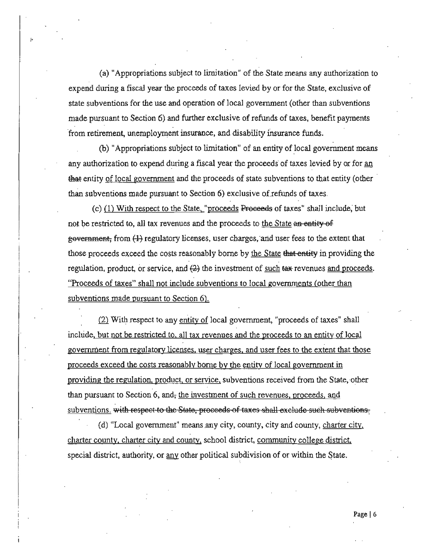(a) "Appropriations subject to limitation" of the State means any authorization to expend during a fiscal year the proceeds of taxes levied by or for the State, exclusive of state subventions for the use and operation of local government (other than subventions made pursuant to Section 6) and further exclusive of refunds of taxes, benefit payments from retirement, unemployment insurance, and disability insurance funds.

(b) "Appropriations subject to limitation" of an entity of local government means any authorization to expend during a fiscal year the proceeds of taxes levied by or for an that entity of local government and the proceeds of state subventions to that entity (other than subventions made pursuant to Section 6) exclusive of refunds of taxes.

(c) (1) With respect to the State, "proceeds Proceeds of taxes" shall include, but not be restricted to, all tax revenues and the proceeds to the State an entity of government, from (1) regulatory licenses, user charges, and user fees to the extent that those proceeds exceed the costs reasonably borne by the State that entity in providing the regulation, product, or service, and  $(2)$  the investment of such  $\alpha$  revenues and proceeds. "Proceeds of taxes" shall not include subventions to local governments (other than subventions made pursuant to Section 6).

(2) With respect to any entity of local government, "proceeds of taxes" shall include, but not be restricted to, all tax revenues and the proceeds to an entity of local government from regulatory licenses, user charges, and user fees to the extent that those proceeds exceed the costs reasonably borne by the entity of local government in providing the regulation, product, or service, subventions received from the State, other than pursuant to Section 6, and, the investment of such revenues, proceeds, and subventions. with respect to the State, proceeds of taxes shall exclude such subventions.

(d) "Local government" means any city, county, city and county, charter city, charter county, charter city and county, school district, community college district, special district, authority, or any other political subdivision of or within the State.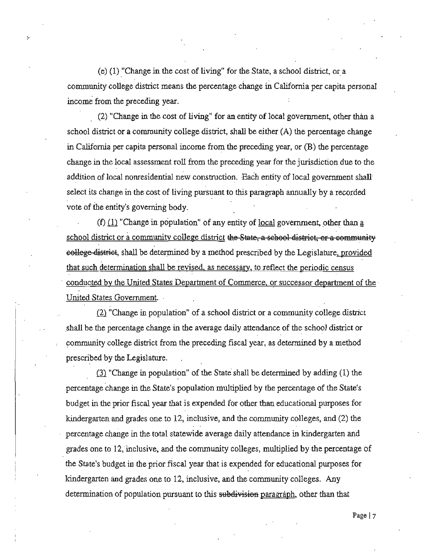$(e)$  (1) "Change in the cost of living" for the State, a school district, or a **community college district means the percentage change in California per capita personal**  income from the preceding year.

(2) "Change in the cost of living" for an entity of local government, other than a school district or a community college district, shall he either (A) the percentage change in California per capita personal income from the preceding year, or (B) the percentage change in the local assessment roll from the preceding year for the jurisdiction due to the addition of local nonresidential new construction. Each entity of local government shall select its change in the cost of living pursuant to this paragraph annually by a recorded vote of the entity's governing body.

(f) (1) "Change in population" of any entity of local government, other than a school district or a community college district the State, a sebool district, or a community eollege district, shall be determined by a method prescribed by the Legislature, provided that such determination shall be revised, as necessary, to reflect the periodic census . **conducted by the United States Department of Commerce. or successor department of the**  United States Government.

 $(2)$  "Change in population" of a school district or a community college district shall be the percentage change in the average daily attendance of the school district or community college district from the preceding fiscal year, as determined by a method prescribed by the Legislature.

 $\sim$ 

 $(3)$  "Change in population" of the State shall be determined by adding  $(1)$  the percentage change in the State's population multiplied by the percentage of the State's budget in the prior fiscal year that is expended for other than educational purposes for kindergarten and grades one to  $12$ , inclusive, and the community colleges, and  $(2)$  the percentage change in the total statewide average daily attendance in kindergarten and grades one to 12, inclusive, and the community colleges, multiplied by the percentage of the State's budget in the prior fiscal year that is expended for educational purposes for kindergarten and grades one to 12, inclusive, and the community colleges. Any determination of population pursuant to this subdivision paragraph, other than that

**Page 17**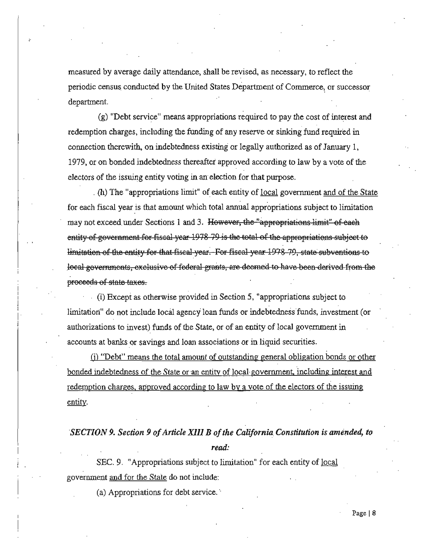measured by average daily attendance, shall be revised, as necessary, to reflect the periodic census conducted by the United States Department of Commerce, or successor department.

(g) "Debt service" means appropriations required to pay the cost of interest and redemption charges, including the funding of any reserve or sinking fund required in connection therewith, on indebtedness existing or legally authorized as of January 1, 1979, or on bonded indebtedness thereafter approved according to law by a vote of the electors of the issuing entity voting in an election for that purpose.

(h) The "appropriations limit" of each entity of <u>local</u> government and of the State for each fiscal year is that amount which total annual appropriations subject to limitation may not exceed under Sections 1 and 3. However, the "appropriations limit" of each entity of government for fiscal year 1978 79 is the total of the appropriations subject to limitation of the entity for that fiscal year. For fiscal year 1978 79, state subventions to local governments, exclusive of federal grants, are deemed to have been derived from the proceeds of state taxes.

(i) Except as otherwise provided in Section 5, "appropriations subject to limitation" do not include local agency loan funds or indebtedness funds, investment (or authorizations to invest) funds of the State, or of an entity of local government in accounts at banks or savings and loan associations or in liquid securities.

(i) "Debt" means the total amount of outstanding general obligation bonds or other bonded indebtedness of the State or an entity of local government, including interest and redemption charges, approved according to law by a vote of the electors of the issuing entity.

## SECTION 9. Section 9 of Article XIII B of the California Constitution is amended, to read:

SEC. 9. "Appropriations subject to limitation" for each entity of <u>local</u> government and for the State do not include:

(a) Appropriations for debt service.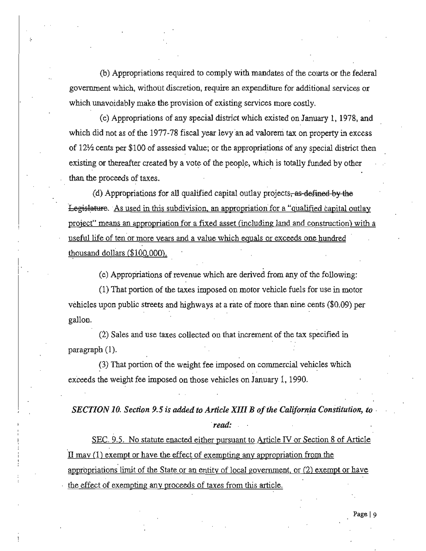(b) Appropriations required to comply with mandates of the courts or the federal government which, without discretion, require an expenditure for additional services or **which unavoidably make the provision of existing services more costly.** 

(c) Appropriations of any special district which existed on January I, 1978, and which did not as of the 1977-78 fiscal year levy an ad valorem tax on property in excess of  $12\frac{1}{2}$  cents per \$100 of assessed value; or the appropriations of any special district then existing or thereafter created by a vote of the people, which is totally funded by other than the proceeds of taxes.

(d) Appropriations for all qualified capital outlay projects, as defined by the Legislature. As used in this subdivision, an appropriation for a "qualified capital outlay **project" means an appropriation for a fixed asset (including land and construction) with a**  useful life **of ten'or more years and a value which equals or exceeds one hundred**  thousand dollars (\$100.000).

<sup>i</sup>(e) Appropriations of revenue which are derived from any of the following:

(1) That portion of the taxes imposed on motor vehicle fuels for use in motor vehicles upon public streets and highways at a rate of more than nine cents (\$0.09) per gallon.

(2) Sales and use taxes collected on that increment of the tax specified in paragraph (I).

(3) That portion of the weight fee imposed on commercial vehicles which exceeds the weight fee imposed on those vehicles on January I, 1990.

*SECTION 10. Section* 9.5 *is added to Article XIII B ofthe California Constitution, to read:* 

SEC. 9.5. No statute enacted either pursuant to Article IV or Section 8 of Article **II may (1) exempt or have the effect of exempting any appropriation from the appropriations limit of the State or an entity of local goverrunent. or (2) exempt or have the effect of exempting any proceeds of taxes from this article.**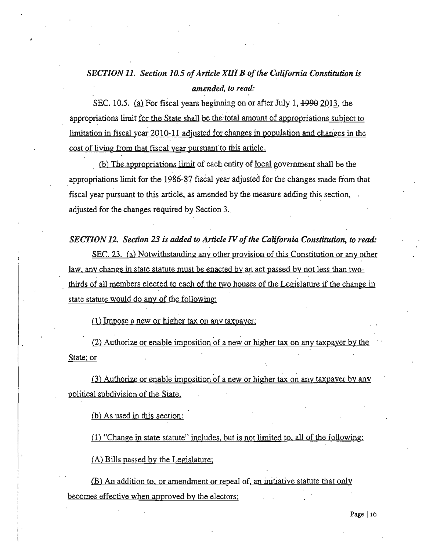## **SECTION 11. Section 10.5 of Article XIII B of the California Constitution is** *amended, to read:*

SEC. 10.5. (a) For fiscal years beginning on or after July 1,  $1990$  2013, the appropriations limit for the State shall be the total amount of appropriations subject to limitation in fiscal year  $2010-11$  adjusted for changes in population and changes in the **cost of living from that fiscal year** pursuant" to **this article.** 

(b) The appropriations limit of each entity of local government shall be the appropriations limit for the 1986-87 fiscal year adjusted for the cbanges made from that fiscal year pursuant to this article, as amended by the measure adding this section, adjusted for the changes required by Section 3.

**SECTION 12. Section 23 is added to Article IV of the California Constitution, to read:** 

**SEC. 23. (a) Notwithstanding any other provision of this Constitution or any other**  law, any change in state statute must be enacted by an act passed by not less than twothirds of all members elected to each of the two houses of the Legislature if the change in state statute would do any of the following:

**(1) Impose a new Of higher tax on any taxpayer:** 

**(2) Authorize or enable imposition of a new or higher tax on any taxpayer by the State: or** 

**(3) Authorize or enable imposition of a new or higher tax on any taxpayer by any political subdivision of the state.** 

(b) As used in this section:

(1) "Change in state statute" includes, but is not limited to all of the following:

 $(A)$  Bills passed by the Legislature:

**\$) An addition to. or amendment Of repeal of. an initiative statute that only becomes effective when approved by the electors:**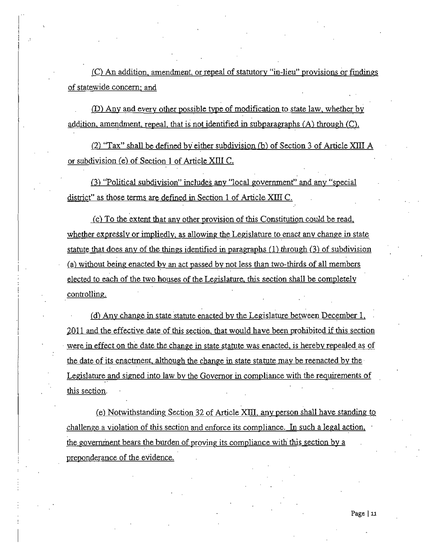**(e) An addition. amendment. or repeal of statutory "in-lieu" provisions or findings of statewide concern: and** 

 $\vert$ I j<br>!

> **(D) Any and every other poss.ihle type of modification to state law.** whethe~ **by**  addition, amendment, repeal, that is not identified in subparagraphs (A) through (C).

(2) "Tax" shall be defined by either subdivision (b) of Section 3 of Article XIII  $\Lambda$ or subdivision (e) of Section  $1$  of Article XIII C.

**(3) ''Political subdivision" includes any "local government" and any "special**  district" as those terms are defined in Section 1 of Article XIII C.

**(e) To the extent that any other provision of this Constitution could be read.**  whether expressly or impliedly, as allowing the Legislature to enact any change in state. statute that does any of the things identified in paragraphs  $(1)$  through  $(3)$  of subdivision (a) without being enacted by an act passed by not less than two-thirds of all members **elected to each of the two houses of the Legislature. this section shall be completely controlling.** 

**(d)** Any change in state statute enacted by the Legislature between December 1. 2011 and the effective date of this section. that would have been prohibited if this section **were in effect on the date the change in state statute was enacted. is hereby repealed as of the date of its enactment. although the change in state statute may be reenacted by the**  Legislature and signed into law by the Governor in compliance with the requirements of **this section.** 

(e) Notwithstanding Section 32 of Article XIII any person shall have standing to **challenge a violation of this section and enforce its compliance. In such a legal action. the governrnent bears the burden of proving its compliance with this section by a preponderance of the evidence.**